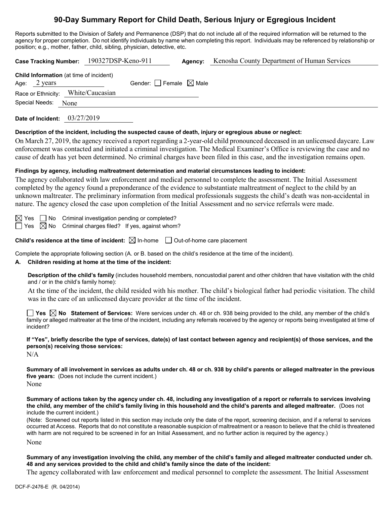# **90-Day Summary Report for Child Death, Serious Injury or Egregious Incident**

Reports submitted to the Division of Safety and Permanence (DSP) that do not include all of the required information will be returned to the agency for proper completion. Do not identify individuals by name when completing this report. Individuals may be referenced by relationship or position; e.g., mother, father, child, sibling, physician, detective, etc.

| Case Tracking Number: 190327DSP-Keno-911                                 |                                 | Agency: | Kenosha County Department of Human Services                                                                |
|--------------------------------------------------------------------------|---------------------------------|---------|------------------------------------------------------------------------------------------------------------|
| <b>Child Information</b> (at time of incident)<br>Age: $2 \text{ years}$ | Gender: Female $\boxtimes$ Male |         |                                                                                                            |
| Race or Ethnicity:                                                       | White/Caucasian                 |         |                                                                                                            |
| Special Needs:<br>None                                                   |                                 |         |                                                                                                            |
| Date of Incident: 03/27/2019                                             |                                 |         |                                                                                                            |
|                                                                          |                                 |         | Description of the incident, including the suspected cause of death, injury or egregious abuse or neglect: |

On March 27, 2019, the agency received a report regarding a 2-year-old child pronounced deceased in an unlicensed daycare. Law enforcement was contacted and initiated a criminal investigation. The Medical Examiner's Office is reviewing the case and no cause of death has yet been determined. No criminal charges have been filed in this case, and the investigation remains open.

## **Findings by agency, including maltreatment determination and material circumstances leading to incident:**

The agency collaborated with law enforcement and medical personnel to complete the assessment. The Initial Assessment completed by the agency found a preponderance of the evidence to substantiate maltreatment of neglect to the child by an unknown maltreater. The preliminary information from medical professionals suggests the child's death was non-accidental in nature. The agency closed the case upon completion of the Initial Assessment and no service referrals were made.

 $\Box$  No Criminal investigation pending or completed?

 $\exists$  Yes  $\boxtimes$  No Criminal charges filed? If yes, against whom?

**Child's residence at the time of incident:**  $\boxtimes$  In-home  $\Box$  Out-of-home care placement

Complete the appropriate following section (A. or B. based on the child's residence at the time of the incident).

## **A. Children residing at home at the time of the incident:**

**Description of the child's family** (includes household members, noncustodial parent and other children that have visitation with the child and / or in the child's family home):

At the time of the incident, the child resided with his mother. The child's biological father had periodic visitation. The child was in the care of an unlicensed daycare provider at the time of the incident.

**Yes No Statement of Services:** Were services under ch. 48 or ch. 938 being provided to the child, any member of the child's family or alleged maltreater at the time of the incident, including any referrals received by the agency or reports being investigated at time of incident?

**If "Yes", briefly describe the type of services, date(s) of last contact between agency and recipient(s) of those services, and the person(s) receiving those services:**

N/A

**Summary of all involvement in services as adults under ch. 48 or ch. 938 by child's parents or alleged maltreater in the previous five years:** (Does not include the current incident.)

None

**Summary of actions taken by the agency under ch. 48, including any investigation of a report or referrals to services involving the child, any member of the child's family living in this household and the child's parents and alleged maltreater.** (Does not include the current incident.)

(Note: Screened out reports listed in this section may include only the date of the report, screening decision, and if a referral to services occurred at Access. Reports that do not constitute a reasonable suspicion of maltreatment or a reason to believe that the child is threatened with harm are not required to be screened in for an Initial Assessment, and no further action is required by the agency.)

None

**Summary of any investigation involving the child, any member of the child's family and alleged maltreater conducted under ch. 48 and any services provided to the child and child's family since the date of the incident:**

The agency collaborated with law enforcement and medical personnel to complete the assessment. The Initial Assessment